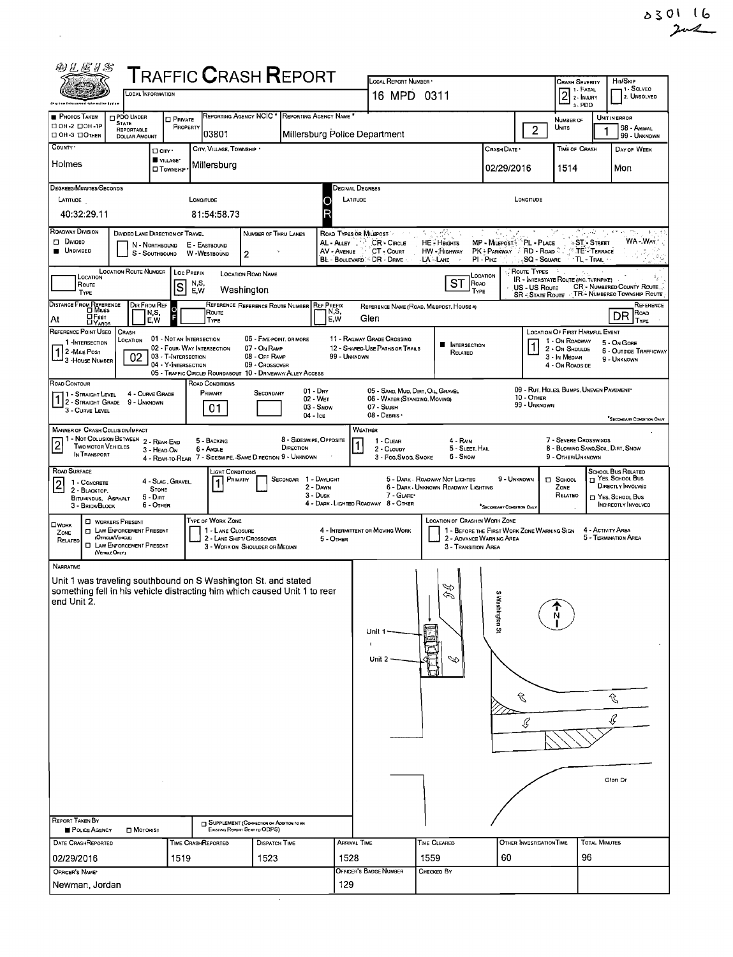| 0301 | ા ( |  |
|------|-----|--|
|      | 2n2 |  |

| 的可尼日记                                                                                                                                                                                                                                                 |                                                              |                                   |                              | <b>TRAFFIC CRASH REPORT</b>                                                   |                                      |                                           | LOCAL REPORT NUMBER .                                              |                                                                       |                                             |                                                                                 | <b>CRASH SEVERITY</b>                                                           |                               | Hm/Skip                                         |  |
|-------------------------------------------------------------------------------------------------------------------------------------------------------------------------------------------------------------------------------------------------------|--------------------------------------------------------------|-----------------------------------|------------------------------|-------------------------------------------------------------------------------|--------------------------------------|-------------------------------------------|--------------------------------------------------------------------|-----------------------------------------------------------------------|---------------------------------------------|---------------------------------------------------------------------------------|---------------------------------------------------------------------------------|-------------------------------|-------------------------------------------------|--|
| <b>LOCAL INFORMATION</b><br>Ship Law Enterpretast totavastino Eyelaw                                                                                                                                                                                  |                                                              |                                   |                              |                                                                               |                                      |                                           | 16 MPD 0311                                                        |                                                                       |                                             | 1 - Solveo<br>1 - FATAL<br>$\overline{2}$<br>2. UNSOLVED<br>2 - INJURY<br>3-PDO |                                                                                 |                               |                                                 |  |
| PHOTOS TAKEN<br>□ OH-2 □ OH-1P                                                                                                                                                                                                                        | PDO UNDER<br><b>STATE</b>                                    | <b>D</b> PRIVATE<br>PROPERTY      |                              | REPORTING AGENCY NCIC *                                                       | REPORTING AGENCY NAME *              |                                           |                                                                    |                                                                       |                                             |                                                                                 | <b>NUMBER OF</b>                                                                |                               | UNIT IN ERROR                                   |  |
| OH-3 OTHER<br>COUNTY '                                                                                                                                                                                                                                | REPORTABLE<br><b>DOLLAR AMOUNT</b>                           |                                   | 03801                        |                                                                               |                                      | Millersburg Police Department             |                                                                    |                                                                       |                                             | 2                                                                               | Units                                                                           |                               | 98 - ANIMAL<br>99 - UNKNOWN                     |  |
| Holmes                                                                                                                                                                                                                                                |                                                              | $\Box$ CITY '<br>VILLAGE*         | Millersburg                  | CITY, VILLAGE, TOWNSHIP .                                                     |                                      |                                           |                                                                    |                                                                       | CRASH DATE *                                |                                                                                 | TIME OF CRASH                                                                   |                               | DAY OF WEEK                                     |  |
|                                                                                                                                                                                                                                                       |                                                              | □ Townsн <sub>P</sub>             |                              |                                                                               |                                      |                                           |                                                                    |                                                                       | 02/29/2016                                  |                                                                                 | 1514                                                                            |                               | Mon                                             |  |
| DEGREES/MINUTES/SECONDS<br>LATITUDE                                                                                                                                                                                                                   |                                                              |                                   | LONGITUDE                    |                                                                               |                                      | Decimal Degrees<br>LATITUDE<br>O          |                                                                    |                                                                       |                                             | LONGITUDE                                                                       |                                                                                 |                               |                                                 |  |
| 40:32:29.11                                                                                                                                                                                                                                           |                                                              |                                   | 81:54:58.73                  |                                                                               |                                      |                                           |                                                                    |                                                                       |                                             |                                                                                 |                                                                                 |                               |                                                 |  |
| ROADWAY DIVISION<br>D Divideo                                                                                                                                                                                                                         | DIVIDED LANE DIRECTION OF TRAVEL                             |                                   |                              | NUMBER OF THRU LANES                                                          |                                      | ROAD TYPES OR MILEPOST<br>AL-ALLEY        | CR - Circus                                                        | وبالبرائض<br><b>HE-HEIGHTS</b>                                        | MP - Milepost <sup>5</sup> PL - PLACE       |                                                                                 |                                                                                 | الأفادين<br><b>ST-STREET</b>  | $4 - 1$<br>WA - War                             |  |
| <b>UNDIVIDED</b>                                                                                                                                                                                                                                      |                                                              | N - Northbound<br>S - SOUTHBOUND  | E - EASTBOUND<br>W-WESTBOUND | 2                                                                             |                                      | AV - AVENUE<br>BL - BOULEVARD. DR - DRIVE | CT - Count                                                         | HW - HIGHWAY<br>LA - LANE                                             | PK - PARKWAY A RD - ROAD<br>PI - Pike       | SQ - SQUARE                                                                     | * TL - Trail                                                                    | $^{\circ}$ TE $\cdot$ Terrace |                                                 |  |
| LOCATION                                                                                                                                                                                                                                              | <b>LOCATION ROUTE NUMBER</b>                                 |                                   | LOC PREFIX<br>N,S,           | <b>LOCATION ROAD NAME</b>                                                     |                                      |                                           |                                                                    | ST                                                                    | LOCATION                                    | <b>CROUTE TYPES</b>                                                             | IR - INTERSTATE ROUTE (INC. TURNPIKE)                                           |                               |                                                 |  |
| ROAD<br>Route<br> S<br>CR'- NUMBERED COUNTY ROUTE<br>US - US Route<br>E,W<br>Washington<br>TYPE<br><b>TYPE</b><br>TR - NUMBEREO TOWNSHIP ROUTE<br><b>SR - STATE ROUTE</b><br>DIR FROM REF<br>REFERENCE REFERENCE ROUTE NUMBER REF PREFIX<br>REFERENCE |                                                              |                                   |                              |                                                                               |                                      |                                           |                                                                    |                                                                       |                                             |                                                                                 |                                                                                 |                               |                                                 |  |
| DISTANCE FROM REFERENCE<br>REFERENCE NAME (ROAD, MILEPOST, HOUSE 4)<br>$\circ$<br>N,S,<br>N,S,<br>Route<br>Road<br>DR<br><b>DFEET</b><br>Glen<br>E.W<br>At<br>E,W<br>TYPE<br>TYPE                                                                     |                                                              |                                   |                              |                                                                               |                                      |                                           |                                                                    |                                                                       |                                             |                                                                                 |                                                                                 |                               |                                                 |  |
| REFERENCE POINT USED<br><b>CRASH</b><br>LOCATION OF FIRST HARMFUL EVENT<br>11 - RAILWAY GRADE CROSSING<br>01 - NOT AN INTERSECTION<br>05 - FIVE-POINT, OR MORE<br>LOCATION<br>1 - On ROADWAY<br>1-INTERSECTION<br>5 - On Gore                         |                                                              |                                   |                              |                                                                               |                                      |                                           |                                                                    |                                                                       |                                             |                                                                                 |                                                                                 |                               |                                                 |  |
| 1 2 - MILE POST<br>3 - HOUSE NUMBER                                                                                                                                                                                                                   | 02                                                           | 03 - T-INTERSECTION               | 02 - FOUR- WAY INTERSECTION  | 07 - On RAMP<br>08 - OFF RAMP                                                 |                                      | 99 - UNKNOWN                              | 12 - SHARED-USE PATHS OR TRAILS                                    | <b>NTERSECTION</b><br>RELATED                                         |                                             | $\mathbf{1}$                                                                    | 2 - ON SHOULDE<br>3 - In Median                                                 |                               | <b>6 - OUTSIDE TRAFFICWAY</b><br>9 - UNKNOWN    |  |
|                                                                                                                                                                                                                                                       |                                                              | 04 - Y-INTERSECTION               |                              | 09 - Crossover<br>05 - TRAFFIC CIRCLE/ ROUNDABOUT 10 - DRIVEWAY/ ALLEY ACCESS |                                      |                                           |                                                                    |                                                                       |                                             |                                                                                 | 4 - On ROADSIDE                                                                 |                               |                                                 |  |
| ROAD CONTOUR<br>1 - STRAIGHT LEVEL                                                                                                                                                                                                                    | 4 - CURVE GRADE                                              |                                   | ROAD CONDITIONS<br>PRIMARY   | SECONDARY                                                                     | $01 - \text{Dry}$<br>02 - WET        |                                           | 05 - SAND, MUD, DIRT, OIL, GRAVEL<br>06 - WATER (STANDING, MOVING) |                                                                       |                                             | 10 - OTHER                                                                      | 09 - RUT, HOLES, BUMPS, UNEVEN PAVEMENT*                                        |                               |                                                 |  |
| 1 2 - STRAIGHT GRADE<br>3 - CURVE LEVEL                                                                                                                                                                                                               | 9 - UNKNOWN                                                  |                                   | 01                           |                                                                               | 04 - Ice                             | 03 - Snow                                 | 07 - SLUSH<br>08 - DEBRIS ·                                        |                                                                       |                                             | 99 - UNKNOWN                                                                    |                                                                                 |                               |                                                 |  |
| MANNER OF CRASH COLLISION/IMPACT                                                                                                                                                                                                                      |                                                              |                                   |                              |                                                                               |                                      |                                           | WEATHER                                                            |                                                                       |                                             |                                                                                 |                                                                                 |                               | "SECONDARY CONDITION ONLY                       |  |
| 1 - NOT COLLISION BETWEEN 2 - REAR-END<br>$\overline{2}$<br><b>TWO MOTOR VEHICLES</b><br>IN TRANSPORT                                                                                                                                                 |                                                              | 3 - HEAD-ON                       | 5 - BACKING<br>6 - Angle     | 4 - REAR-TO-REAR 7 - SIDESWIPE, SAME DIRECTION 9 - UNKNOWN                    | 8 - SIDESWIPE, OPPOSITE<br>DIRECTION |                                           | 1 - CLEAR<br>2 - CLOUDY<br>3 - Fog, Smog, Smoke                    | 4 - RAIN<br>5 - Sleet, Hail<br>6 - Snow                               |                                             |                                                                                 | 7 - SEVERE CROSSWINDS<br>8 - Blowing Sand Soil, Dirt, Snow<br>9 - OTHER/UNKNOWN |                               |                                                 |  |
| ROAD SURFACE                                                                                                                                                                                                                                          |                                                              |                                   |                              | LIGHT CONDITIONS                                                              |                                      |                                           |                                                                    |                                                                       |                                             |                                                                                 |                                                                                 |                               | School Bus Related                              |  |
| $\overline{\mathbf{2}}$<br>1 - CONCRETE<br>2 - BLACKTOP.                                                                                                                                                                                              |                                                              | 4 - Slag, Gravel,<br><b>STONE</b> | 1                            | PRIMARY                                                                       | SECONOAR 1 - DAYLIGHT                | 2 - DAWN<br>$3 - D$ USK                   | 7 - GLARE                                                          | 5 - DARK - ROADWAY NOT LIGHTED<br>6 - DARK - UNKNOWN ROADWAY LIGHTING | 9 - UNKNOWN                                 |                                                                                 | $\Box$ SCHOOL<br>ZONE<br>RELATEO                                                |                               | $\Box$ Yes, School Bus<br>DIRECTLY INVOLVED     |  |
| <b>BITUMINDUS, ASPHALT</b><br>3 - BRICK/BLOCK                                                                                                                                                                                                         |                                                              | $5 - D$ IRT<br>6 - OTHER          |                              |                                                                               |                                      |                                           | 4 - DARK - LIGHTED ROADWAY 8 - OTHER                               |                                                                       | SECONDARY CONDITION ONLY                    |                                                                                 |                                                                                 |                               | T YES, SCHOOL BUS<br><b>INDIRECTLY INVOLVED</b> |  |
| <b>OWORK</b><br>ZONE                                                                                                                                                                                                                                  | <b>D</b> WORKERS PRESENT<br><b>D</b> LAW ENFORCEMENT PRESENT |                                   | TYPE OF WORK ZONE            | 1 - LANE CLOSURE                                                              |                                      |                                           | 4 - INTERMITTENT OR MOVING WORK                                    | LOCATION OF CRASH IN WORK ZONE                                        | 1 - BEFORE THE FIRST WORK ZONE WARNING SIGN |                                                                                 |                                                                                 | 4 - ACTIVITY AREA             |                                                 |  |
| RELATED<br>(VEHICLE ONLY)                                                                                                                                                                                                                             | (OFFICER/VENICLE)<br><b>D</b> LAW ENFORCEMENT PRESENT        |                                   |                              | 2 - LANE SHIFT/ CROSSOVER<br>3 - WORK ON SHOULDER OR MEDIAN                   |                                      | 5 - OTHER                                 |                                                                    | 3 - Transition Area                                                   | 2 - ADVANCE WARNING AREA                    |                                                                                 |                                                                                 |                               | 5 - TERMINATION AREA                            |  |
| NARRATNE                                                                                                                                                                                                                                              |                                                              |                                   |                              |                                                                               |                                      |                                           |                                                                    |                                                                       |                                             |                                                                                 |                                                                                 |                               |                                                 |  |
| Unit 1 was traveling southbound on S Washington St. and stated<br>something fell in his vehicle distracting him which caused Unit 1 to rear                                                                                                           |                                                              |                                   |                              |                                                                               |                                      |                                           |                                                                    | H                                                                     | <b>CO</b>                                   |                                                                                 |                                                                                 |                               |                                                 |  |
| end Unit 2.                                                                                                                                                                                                                                           |                                                              |                                   |                              |                                                                               |                                      |                                           |                                                                    |                                                                       |                                             |                                                                                 |                                                                                 |                               |                                                 |  |
|                                                                                                                                                                                                                                                       |                                                              |                                   |                              |                                                                               |                                      |                                           | Unit 1                                                             |                                                                       | Nashington S                                |                                                                                 |                                                                                 |                               |                                                 |  |
|                                                                                                                                                                                                                                                       |                                                              |                                   |                              |                                                                               |                                      |                                           |                                                                    |                                                                       |                                             |                                                                                 |                                                                                 |                               |                                                 |  |
|                                                                                                                                                                                                                                                       |                                                              |                                   |                              |                                                                               |                                      |                                           | Unit 2                                                             | D                                                                     |                                             |                                                                                 |                                                                                 |                               |                                                 |  |
|                                                                                                                                                                                                                                                       |                                                              |                                   |                              |                                                                               |                                      |                                           |                                                                    |                                                                       |                                             |                                                                                 |                                                                                 |                               |                                                 |  |
|                                                                                                                                                                                                                                                       |                                                              |                                   |                              |                                                                               |                                      |                                           |                                                                    |                                                                       |                                             | C                                                                               |                                                                                 |                               | Ĵ,                                              |  |
|                                                                                                                                                                                                                                                       |                                                              |                                   |                              |                                                                               |                                      |                                           |                                                                    |                                                                       |                                             | Ç                                                                               |                                                                                 |                               | Ç                                               |  |
|                                                                                                                                                                                                                                                       |                                                              |                                   |                              |                                                                               |                                      |                                           |                                                                    |                                                                       |                                             |                                                                                 |                                                                                 |                               |                                                 |  |
|                                                                                                                                                                                                                                                       |                                                              |                                   |                              |                                                                               |                                      |                                           |                                                                    |                                                                       |                                             |                                                                                 |                                                                                 |                               |                                                 |  |
|                                                                                                                                                                                                                                                       |                                                              |                                   |                              |                                                                               |                                      |                                           |                                                                    |                                                                       |                                             |                                                                                 |                                                                                 |                               | Glen Dr                                         |  |
|                                                                                                                                                                                                                                                       |                                                              |                                   |                              |                                                                               |                                      |                                           |                                                                    |                                                                       |                                             |                                                                                 |                                                                                 |                               |                                                 |  |
| <b>REPORT TAKEN BY</b>                                                                                                                                                                                                                                |                                                              |                                   |                              | SUPPLEMENT (CORRECTION OR ADDITION TO AN                                      |                                      |                                           |                                                                    |                                                                       |                                             |                                                                                 |                                                                                 |                               |                                                 |  |
| POLICE AGENCY<br>DATE CRASHREPORTED                                                                                                                                                                                                                   | <b>D</b> MOTORIST                                            |                                   | <b>TIME CRASHREPORTED</b>    | EXISTING REPORT SENT TO ODPS)<br>Dispatch Time                                |                                      | <b>ARRIVAL TIME</b>                       |                                                                    | TIME CLEARED                                                          |                                             | OTHER INVESTIGATION TIME                                                        |                                                                                 | <b>TOTAL MINUTES</b>          |                                                 |  |
| 02/29/2016                                                                                                                                                                                                                                            |                                                              | 1519                              |                              | 1523                                                                          |                                      | 1528                                      |                                                                    | 1559                                                                  | 60                                          |                                                                                 | 96                                                                              |                               |                                                 |  |
| OFFICER'S NAME*                                                                                                                                                                                                                                       |                                                              |                                   |                              |                                                                               |                                      |                                           | OFFICER'S BADGE NUMBER                                             | Снескер Ву                                                            |                                             |                                                                                 |                                                                                 |                               |                                                 |  |
| Newman, Jordan                                                                                                                                                                                                                                        |                                                              |                                   |                              |                                                                               | $\alpha$                             | 129                                       |                                                                    |                                                                       |                                             |                                                                                 |                                                                                 |                               |                                                 |  |

 $\mathcal{O}(10^{10})$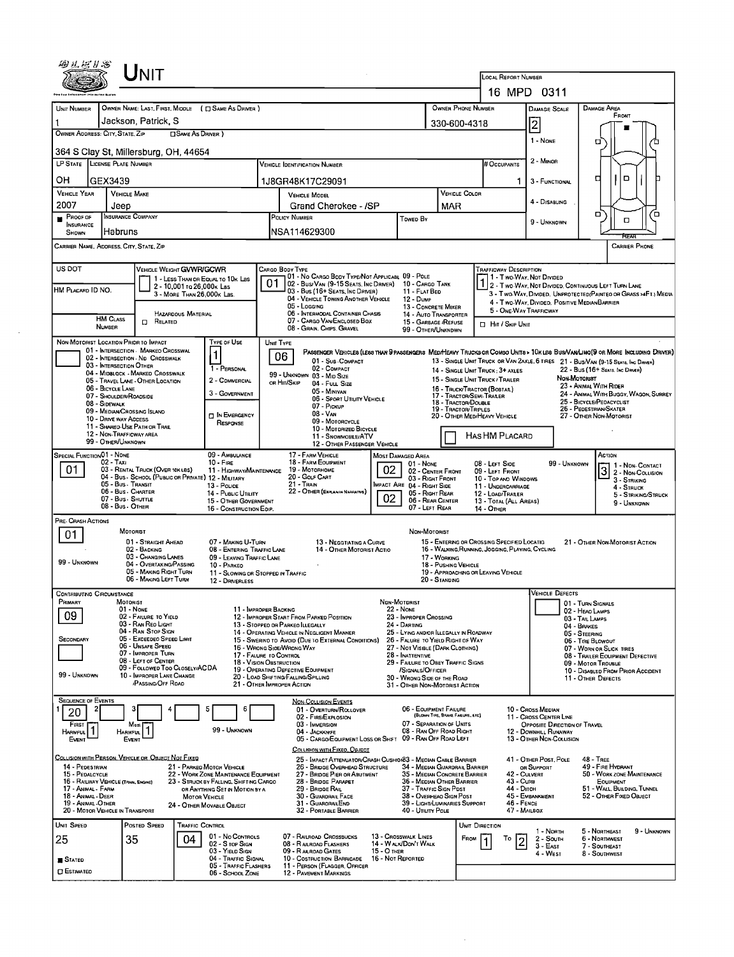|                                                                                                                                                                                                                                                                                                                                         |                                                      | ${\color{red}\mathsf{Unit}}$                                                            |                            |                                                                                |           |                                                                                                                    |                                                                                                                                                   |                                  |                                                                            |                                                  |                |                                                                                                 |                                                        |                 |                                                                   |                                        |             |  |  |
|-----------------------------------------------------------------------------------------------------------------------------------------------------------------------------------------------------------------------------------------------------------------------------------------------------------------------------------------|------------------------------------------------------|-----------------------------------------------------------------------------------------|----------------------------|--------------------------------------------------------------------------------|-----------|--------------------------------------------------------------------------------------------------------------------|---------------------------------------------------------------------------------------------------------------------------------------------------|----------------------------------|----------------------------------------------------------------------------|--------------------------------------------------|----------------|-------------------------------------------------------------------------------------------------|--------------------------------------------------------|-----------------|-------------------------------------------------------------------|----------------------------------------|-------------|--|--|
|                                                                                                                                                                                                                                                                                                                                         |                                                      |                                                                                         |                            |                                                                                |           |                                                                                                                    |                                                                                                                                                   |                                  |                                                                            |                                                  |                | LOCAL REPORT NUMBER<br>16 MPD 0311                                                              |                                                        |                 |                                                                   |                                        |             |  |  |
|                                                                                                                                                                                                                                                                                                                                         |                                                      |                                                                                         |                            |                                                                                |           |                                                                                                                    |                                                                                                                                                   |                                  |                                                                            |                                                  |                |                                                                                                 |                                                        |                 |                                                                   |                                        |             |  |  |
| UNIT NUMBER                                                                                                                                                                                                                                                                                                                             |                                                      |                                                                                         |                            | OWNER NAME: LAST, FIRST, MIDDLE ( C SAME AS DRIVER )                           |           |                                                                                                                    |                                                                                                                                                   |                                  |                                                                            | OWNER PHONE NUMBER                               |                |                                                                                                 | DAMAGE SCALE                                           |                 | DAMAGE AREA                                                       | FRONT                                  |             |  |  |
| OWNER ADDRESS: CITY, STATE, ZIP                                                                                                                                                                                                                                                                                                         |                                                      | Jackson Patrick S                                                                       | □ SAME AS DRIVER)          |                                                                                |           |                                                                                                                    |                                                                                                                                                   |                                  |                                                                            | 330-600-4318                                     |                |                                                                                                 | $\vert$ 2                                              |                 |                                                                   |                                        |             |  |  |
|                                                                                                                                                                                                                                                                                                                                         | 364 S Clay St, Millersburg, OH, 44654                |                                                                                         |                            |                                                                                |           |                                                                                                                    |                                                                                                                                                   |                                  |                                                                            |                                                  |                |                                                                                                 |                                                        |                 | 1 - NONE<br>□                                                     |                                        |             |  |  |
| LP STATE LICENSE PLATE NUMBER                                                                                                                                                                                                                                                                                                           |                                                      |                                                                                         |                            |                                                                                |           | Vehicle Identification Number                                                                                      |                                                                                                                                                   |                                  |                                                                            |                                                  |                | # OCCUPANTS                                                                                     | 2 - Minon                                              |                 |                                                                   |                                        |             |  |  |
| OН                                                                                                                                                                                                                                                                                                                                      | GEX3439                                              |                                                                                         |                            |                                                                                |           | 1J8GR48K17C29091                                                                                                   |                                                                                                                                                   |                                  |                                                                            |                                                  |                | 1                                                                                               | 3 - FUNCTIONAL                                         |                 | ם                                                                 |                                        |             |  |  |
| <b>VEHICLE YEAR</b>                                                                                                                                                                                                                                                                                                                     | <b>VEHICLE MAKE</b>                                  |                                                                                         |                            |                                                                                |           | VEHICLE MODEL                                                                                                      |                                                                                                                                                   |                                  |                                                                            | VEHICLE COLOR                                    |                |                                                                                                 |                                                        |                 |                                                                   |                                        |             |  |  |
| 2007                                                                                                                                                                                                                                                                                                                                    | Jeep                                                 |                                                                                         |                            |                                                                                |           |                                                                                                                    | Grand Cherokee - /SP                                                                                                                              |                                  |                                                                            | MAR                                              |                |                                                                                                 | 4 - DISABLING                                          |                 | o                                                                 |                                        | Έ           |  |  |
| PROOF OF<br>П<br><b>INSURANCE</b><br>SHOWN                                                                                                                                                                                                                                                                                              | <b>INSURANCE COMPANY</b><br>Habruns                  |                                                                                         |                            |                                                                                |           | POLICY NUMBER<br>NSA114629300                                                                                      |                                                                                                                                                   |                                  | <b>Towen By</b>                                                            |                                                  |                |                                                                                                 | 9 - UNKNOWN                                            |                 |                                                                   | α                                      |             |  |  |
| CARRIER NAME, ADDRESS, CITY, STATE, ZIP                                                                                                                                                                                                                                                                                                 |                                                      |                                                                                         |                            |                                                                                |           |                                                                                                                    |                                                                                                                                                   |                                  |                                                                            |                                                  |                |                                                                                                 |                                                        |                 |                                                                   | <b>CARRIER PHONE</b>                   |             |  |  |
| US DOT                                                                                                                                                                                                                                                                                                                                  |                                                      |                                                                                         |                            |                                                                                |           | CARGO BODY TYPE                                                                                                    |                                                                                                                                                   |                                  |                                                                            |                                                  |                |                                                                                                 |                                                        |                 |                                                                   |                                        |             |  |  |
| VEHICLE WEIGHT GWWFVGCWR<br><b>TRAFFICWAY DESCRIPTION</b><br>01 - No CARGO BODY TYPE/NOT APPLICABL 09 - POLE<br>11 - Two Way, Not Divided<br>1 - LESS THAN OR EQUAL TO 10K LBS<br>1 - I WO-WAY, IVOI DIVIDED, CONTINUOUS LEFT TURN LANE<br>01<br>02 - Bus/Van (9-15 Seats, Inc Driver)<br>10 - CARGO TANK<br>2 - 10,001 ro 26,000 k Las |                                                      |                                                                                         |                            |                                                                                |           |                                                                                                                    |                                                                                                                                                   |                                  |                                                                            |                                                  |                |                                                                                                 |                                                        |                 |                                                                   |                                        |             |  |  |
| HM PLACARD ID NO.                                                                                                                                                                                                                                                                                                                       |                                                      |                                                                                         | 3 - MORE THAN 26,000K LBS. |                                                                                |           | 03 - Bus (16+ Seats, Inc Driver)<br>04 - VEHICLE TOWING ANOTHER VEHICLE                                            |                                                                                                                                                   |                                  | 11 - FLAT BED<br>12 - Duwe                                                 |                                                  |                | 3 - Two-Way, Divided. UNPROTECTED (PAINTEO OR GRASS >4FT.) MEDIA                                |                                                        |                 |                                                                   |                                        |             |  |  |
|                                                                                                                                                                                                                                                                                                                                         |                                                      |                                                                                         | HAZARDOUS MATERIAL         |                                                                                |           | 05 - LOGGING<br>06 - INTERMODAL CONTAINER CHASIS                                                                   |                                                                                                                                                   |                                  | 13 - CONCRETE MIXER<br>14 - AUTO TRANSPORTER                               |                                                  |                | 4 - Two WAY, DIVIDED, POSITIVE MEDIAN BARRIER<br>5 - ONE-WAY TRAFFICWAY                         |                                                        |                 |                                                                   |                                        |             |  |  |
|                                                                                                                                                                                                                                                                                                                                         | <b>HM CLASS</b><br>NUMBER                            | $\Box$ Related                                                                          |                            |                                                                                |           | 07 - CARGO VAN ENCLOSED BOX<br>08 - Grain, Chips, Gravel                                                           |                                                                                                                                                   |                                  | 15 - GARBAGE / REFUSE<br>99 - OTHER/UNKNDWN                                |                                                  |                | HIT / SKIP UNIT                                                                                 |                                                        |                 |                                                                   |                                        |             |  |  |
| NON-MOTORIST LOCATION PRIOR TO IMPACT                                                                                                                                                                                                                                                                                                   |                                                      |                                                                                         |                            | <b>TYPE OF USE</b>                                                             | UNIT TYPE |                                                                                                                    |                                                                                                                                                   |                                  |                                                                            |                                                  |                |                                                                                                 |                                                        |                 |                                                                   |                                        |             |  |  |
|                                                                                                                                                                                                                                                                                                                                         |                                                      | 01 - INTERSECTION - MARKEO CROSSWAL<br>02 - INTERSECTION - ND CROSSWALK                 |                            | 1                                                                              |           | 06                                                                                                                 | PASSENGER VEHICLES (LESS THAN PPASSENGERS MEDIMEAVY TRUCKS OR COMBO UNITS > 10K LES BUS/VAN/LIMO (9 OR MORE INCLUDING DRIVER)<br>01 - Sub-Compact |                                  |                                                                            |                                                  |                | 13 - SINGLE UNIT TRUCK OR VAN 2AXLE, 6 TIRES 21 - BUS/VAN (9-15 SEATS, Inc DRIVER)              |                                                        |                 |                                                                   |                                        |             |  |  |
|                                                                                                                                                                                                                                                                                                                                         | 03 - INTERSECTION OTHER                              | 04 - MIDBLOCK - MARKED CROSSWALK                                                        |                            | 1 - PERSONAL                                                                   |           | 02 - COMPACT<br>99 - UNKNOWN 03 - MID SIZE                                                                         |                                                                                                                                                   |                                  |                                                                            |                                                  |                | 14 - SINGLE UNIT TRUCK: 3+ AXLES                                                                |                                                        |                 | 22 - Bus (16+ Seats, Inc Driver)                                  |                                        |             |  |  |
|                                                                                                                                                                                                                                                                                                                                         | 06 - BICYCLE LANE                                    | 05 - TRAVEL LANE - OTHER LOCATION                                                       |                            | 2 - COMMERCIAL                                                                 |           | or Hit/Skip<br>04 - Fuu, Size                                                                                      |                                                                                                                                                   |                                  |                                                                            | 16 - TRUCK/TRACTOR (BOBTAR)                      |                | 15 - SINGLE UNIT TRUCK / TRAILER                                                                |                                                        | Non-Mororust    | 23 - ANIMAL WITH RIDER                                            |                                        |             |  |  |
|                                                                                                                                                                                                                                                                                                                                         | 07 - SHOULDER/ROAOSIDE<br>08 - SIDEWALK              |                                                                                         |                            | 3 - GOVERNMENT                                                                 |           | 05 - Minivan                                                                                                       | 06 - SPORT UTILITY VEHICLE                                                                                                                        |                                  |                                                                            | 17 - TRACTOR/SEMI-TRAILER<br>18 - TRACTOR/DOUBLE |                |                                                                                                 |                                                        |                 | 24 - ANIMAL WITH BUGGY, WAGON, SURREY<br>25 - BICYCLE/PEOACYCLIST |                                        |             |  |  |
|                                                                                                                                                                                                                                                                                                                                         | 09 - MEDIAN CROSSING ISLAND<br>10 - DRIVE WAY ACCESS |                                                                                         |                            | <b>DIN EMERGENCY</b>                                                           |           | 07 - Pickup<br>08 - Van                                                                                            |                                                                                                                                                   |                                  |                                                                            | <b>19 - TRACTOR/TRPLES</b>                       |                | 20 - OTHER MED/HEAVY VEHICLE                                                                    |                                                        |                 | 26 - PEDESTRIAN/SKATER<br>27 - OTHER NON-MOTORIST                 |                                        |             |  |  |
|                                                                                                                                                                                                                                                                                                                                         |                                                      | 11 - SHARED-USE PATH OR TRAIL                                                           |                            | RESPONSE                                                                       |           | 09 - MOTORCYCLE<br>10 - MOTORIZED BICYCLE                                                                          |                                                                                                                                                   |                                  |                                                                            |                                                  |                |                                                                                                 |                                                        |                 |                                                                   |                                        |             |  |  |
|                                                                                                                                                                                                                                                                                                                                         | 12 - NON-TRAFFICWAY AREA<br>99 - OTHER/UNKNOWN       |                                                                                         |                            |                                                                                |           |                                                                                                                    | 11 - SNOWMOBLE/ATV<br>12 - OTHER PASSENGER VEHICLE                                                                                                |                                  |                                                                            |                                                  |                | HAS HM PLACARD                                                                                  |                                                        |                 |                                                                   |                                        |             |  |  |
| SPECIAL FUNCTION 01 - NONE                                                                                                                                                                                                                                                                                                              | 02 - TAXI                                            |                                                                                         |                            | 09 - AMBULANCE<br>$10 -$ Fine                                                  |           | 17 - FARM VEHICLE<br>18 - FARM EOUIPMENT                                                                           |                                                                                                                                                   |                                  | Most Damaged Area<br>01 - None                                             |                                                  |                | 08 - LEFT SIDE                                                                                  |                                                        | 99 - Unknown    | ACTION                                                            |                                        |             |  |  |
| 01                                                                                                                                                                                                                                                                                                                                      |                                                      | 03 - RENTAL TRUCK (OVER 10K LBS)<br>04 - BUS - SCHOOL (PUBLIC OR PRIVATE) 12 - MILITARY |                            | 11 - HIGHWAY/MAINTENANCE                                                       |           | 02<br>19 - Мотопноме<br>02 - CENTER FRONT<br>20 - Gour Cart                                                        |                                                                                                                                                   |                                  |                                                                            |                                                  |                | 09 - LEFT FRONT                                                                                 |                                                        |                 |                                                                   | 1 1 - Non-Contact<br>3 2 - NON-CONTACT |             |  |  |
|                                                                                                                                                                                                                                                                                                                                         | 05 - Bus - Transit<br>06 - Bus - CHARTER             |                                                                                         |                            | 13 - Police                                                                    |           | 03 - RIGHT FRONT<br>21 - Train<br>IMPACT ARE 04 - RIGHT SIDE<br>22 - OTHER (EXPLANIN NARRATIVE)<br>05 - RIGHT REAR |                                                                                                                                                   |                                  |                                                                            |                                                  |                | 10 - TOP AND WINDOWS<br>11 - UNDERCARRIAGE                                                      | 3 - STRIKING<br>4 - Struck                             |                 |                                                                   |                                        |             |  |  |
|                                                                                                                                                                                                                                                                                                                                         | 07 - Bus - SHUTTLE<br>08 - Bus - OTHER               |                                                                                         |                            | 14 - PUBLIC UTILITY<br>15 - OTHER GOVERNMENT                                   |           |                                                                                                                    |                                                                                                                                                   | 02                               | 06 - REAR CENTER                                                           |                                                  |                | 12 - LOAD/TRAILER<br>13 - TOTAL (ALL AREAS)                                                     |                                                        |                 |                                                                   | 5 - STRIKING/STRUCK<br>9 - Unknown     |             |  |  |
| PRE- CRASH ACTIONS                                                                                                                                                                                                                                                                                                                      |                                                      |                                                                                         |                            | 16 - CONSTRUCTION EQIP.                                                        |           |                                                                                                                    |                                                                                                                                                   |                                  | 07 - LEFT REAR                                                             |                                                  |                | <b>14 - OTHER</b>                                                                               |                                                        |                 |                                                                   |                                        |             |  |  |
| 01                                                                                                                                                                                                                                                                                                                                      | <b>MOTORIST</b>                                      |                                                                                         |                            |                                                                                |           |                                                                                                                    |                                                                                                                                                   |                                  | NON-MOTORIST                                                               |                                                  |                |                                                                                                 |                                                        |                 |                                                                   |                                        |             |  |  |
|                                                                                                                                                                                                                                                                                                                                         |                                                      | 01 - Straight Ahead<br>02 - BACKING                                                     |                            | 07 - MAKING U-TURN<br>08 - ENTERING TRAFFIC LANE                               |           |                                                                                                                    | 13 - Negatiating a Curve<br>14 - OTHER MOTORIST ACTIO                                                                                             |                                  |                                                                            |                                                  |                | 15 - ENTERING OR CROSSING SPECIFIED LOCATIG<br>16 - WALKING, RUNNING, JOGGING, PLAYING, CYCLING |                                                        |                 | 21 - OTHER NON-MOTORIST ACTION                                    |                                        |             |  |  |
| 99 - UNKNOWN                                                                                                                                                                                                                                                                                                                            |                                                      | 03 - CHANGING LANES<br>04 - OVERTAKING/PASSING                                          |                            | 09 - LEAVING TRAFFIC LANE<br>10 - PARKEO                                       |           |                                                                                                                    |                                                                                                                                                   |                                  |                                                                            | 17 - WORKING<br>18 - PUSHING VEHICLE             |                |                                                                                                 |                                                        |                 |                                                                   |                                        |             |  |  |
|                                                                                                                                                                                                                                                                                                                                         |                                                      | 05 - MAKING RIGHT TURN<br>06 - MAKING LEFT TURN                                         |                            | 11 - Slowing or Stopped in Traffic<br>12 - DRIVERLESS                          |           |                                                                                                                    |                                                                                                                                                   |                                  |                                                                            | 20 - Standing                                    |                | 19 - APPROACHING OR LEAVING VEHICLE                                                             |                                                        |                 |                                                                   |                                        |             |  |  |
| <b>CONTRIBUTING CIRCUMSTANCE</b>                                                                                                                                                                                                                                                                                                        |                                                      |                                                                                         |                            |                                                                                |           |                                                                                                                    |                                                                                                                                                   |                                  |                                                                            |                                                  |                |                                                                                                 |                                                        | VEHICLE DEFECTS |                                                                   |                                        |             |  |  |
| PRIMARY                                                                                                                                                                                                                                                                                                                                 | MOTORIST<br>01 - None                                |                                                                                         |                            | 11 - IMPROPER BACKING                                                          |           |                                                                                                                    |                                                                                                                                                   | NDN-MOTORIST<br><b>22 - NONE</b> |                                                                            |                                                  |                |                                                                                                 |                                                        |                 | 01 - TURN SIGNALS                                                 |                                        |             |  |  |
| 09                                                                                                                                                                                                                                                                                                                                      |                                                      | 02 - FAILURE TO YIELD<br>03 - RAN REO LIGHT                                             |                            |                                                                                |           | 12 - IMPROPER START FROM PARKED POSITION<br>13 - STOPPEO OR PARKEO ILLEGALLY                                       |                                                                                                                                                   |                                  | 23 - IMPROPER CROSSING<br>24 - DARTING                                     |                                                  |                |                                                                                                 |                                                        |                 | 02 - HEAO LAMPS<br>03 - TAIL LAMPS                                |                                        |             |  |  |
| SECONDARY                                                                                                                                                                                                                                                                                                                               |                                                      | 04 - RAN STOP SIGN<br>05 - Exceeped Speed Limit                                         |                            |                                                                                |           | 14 - OPERATING VEHICLE IN NEGLIGENT MANNER                                                                         |                                                                                                                                                   |                                  | 25 - LYING AND/OR LLEGALLY IN ROADWAY<br>26 - FALURE TO YIELD RIGHT OF WAY |                                                  |                |                                                                                                 |                                                        |                 | 04 - BRAKES<br>05 - STEERING                                      |                                        |             |  |  |
|                                                                                                                                                                                                                                                                                                                                         |                                                      | 06 - Unsafe Speed<br>07 - IMPROPER TURN                                                 |                            |                                                                                |           | 15 - Swerino to Avoid (Due to External Conditions)<br>16 - Wrong Sige/Wrong Way                                    |                                                                                                                                                   |                                  | 27 - NOT VISIBLE (DARK CLOTHING)                                           |                                                  |                |                                                                                                 |                                                        |                 | 06 - TIRE BLOWOUT<br>07 - WORN OR SLICK TIRES                     |                                        |             |  |  |
|                                                                                                                                                                                                                                                                                                                                         |                                                      | 08 - LEFT OF CENTER<br>09 - FOLLOWED TOO CLOSELY/ACDA                                   |                            | 17 - FALURE TO CONTROL<br>18 - VISION OBSTRUCTION                              |           |                                                                                                                    |                                                                                                                                                   |                                  | 28 - INATTENTIVE<br>29 - FAILURE TO OBEY TRAFFIC SIGNS                     |                                                  |                |                                                                                                 |                                                        |                 | 08 - TRAILER EQUIPMENT DEFECTIVE<br>09 - MOTOR TROUBLE            |                                        |             |  |  |
| 99 - UNKNOWN                                                                                                                                                                                                                                                                                                                            |                                                      | 10 - IMPROPER LANE CHANGE<br>PASSING/OFF ROAD                                           |                            |                                                                                |           | 19 - OPERATING DEFECTIVE EQUIPMENT<br>20 - LOAD SHIFTING/FALLING/SPILLING                                          |                                                                                                                                                   |                                  | /SIGNALS/OFFICER<br>30 - WRONG SIDE OF THE ROAD                            |                                                  |                |                                                                                                 |                                                        |                 | 10 - DISABLED FROM PRIOR ACCIDENT<br>11 - OTHER DEFECTS           |                                        |             |  |  |
|                                                                                                                                                                                                                                                                                                                                         |                                                      |                                                                                         |                            |                                                                                |           | 21 - OTHER IMPROPER ACTION                                                                                         |                                                                                                                                                   |                                  | 31 - OTHER NON-MOTORIST ACTION                                             |                                                  |                |                                                                                                 |                                                        |                 |                                                                   |                                        |             |  |  |
| <b>SEQUENCE OF EVENTS</b><br>20                                                                                                                                                                                                                                                                                                         |                                                      |                                                                                         |                            | 5<br>6                                                                         |           | <b>NON-COLLISION EVENTS</b><br>01 - OVERTURN/ROLLOVER                                                              |                                                                                                                                                   |                                  | 06 - EQUIPMENT FAILURE                                                     |                                                  |                |                                                                                                 | 10 - Cross Median                                      |                 |                                                                   |                                        |             |  |  |
| First                                                                                                                                                                                                                                                                                                                                   |                                                      | Most                                                                                    |                            |                                                                                |           | 02 - FIRE/EXPLOSION<br>03 - IMMERSION                                                                              |                                                                                                                                                   |                                  | 07 - Separation of Units                                                   | (BLOWN TIRE, BRAKE FAILURE, ETC)                 |                |                                                                                                 | 11 - CROSS CENTER LINE<br>OPPOSITE DIRECTION OF TRAVEL |                 |                                                                   |                                        |             |  |  |
| HARMFUL <sup>1</sup><br>EVENT                                                                                                                                                                                                                                                                                                           | HARMFUL<br>EVENT                                     | 1                                                                                       |                            | 99 - UNKNOWN                                                                   |           | 04 JACKKNIFE                                                                                                       | 05 - CARGO/EQUIPMENT LOSS OR SHIFT 09 - RAN OFF ROAD LEFT                                                                                         |                                  | 08 - RAN OFF ROAD RIGHT                                                    |                                                  |                |                                                                                                 | 12 - DOWNHILL RUNAWAY<br>13 - OTHER NON-COLLISION      |                 |                                                                   |                                        |             |  |  |
| COLLISION WITH PERSON, VEHICLE OR OBJECT NOT FIXED                                                                                                                                                                                                                                                                                      |                                                      |                                                                                         |                            |                                                                                |           | COLLISION WITH FIXED, OBJECT                                                                                       |                                                                                                                                                   |                                  |                                                                            |                                                  |                |                                                                                                 |                                                        |                 |                                                                   |                                        |             |  |  |
| 14 - PEDESTRIAN                                                                                                                                                                                                                                                                                                                         |                                                      |                                                                                         |                            | 21 - PARKED MOTOR VEHICLE                                                      |           |                                                                                                                    | 25 - IMPACT ATTENUATOR/CRASH CUSHION33 - MEDIAN CABLE BARRIER<br>26 - BRIDGE OVERHEAD STRUCTURE                                                   |                                  | 34 - Median Guardrail Barrier                                              |                                                  |                |                                                                                                 | 41 - OTHER POST, POLE<br>OR SUPPORT                    |                 | 48 - TREE<br>49 - FIRE HYDRANT                                    |                                        |             |  |  |
| 15 - PEDALCYCLE<br>16 - RAILWAY VEHICLE (TRAN, ENGINE)                                                                                                                                                                                                                                                                                  |                                                      |                                                                                         |                            | 22 - WORK ZONE MAINTENANCE EQUIPMENT<br>23 - STRUCK BY FALLING, SHIFTING CARGO |           | 28 - BRIDGE PARAPET                                                                                                | 27 - BRIDGE PIER OR ABUTMENT                                                                                                                      |                                  | 35 - Median Concrete Barrier<br>36 - Median Other Barrier                  |                                                  |                | 42 - CULVERT<br>43 - Cura                                                                       |                                                        |                 | 50 - WORK ZONE MAINTENANCE<br>EQUIPMENT                           |                                        |             |  |  |
| 17 - ANIMAL - FARM<br>18 - ANIMAL - DEER                                                                                                                                                                                                                                                                                                |                                                      |                                                                                         | <b>MOTOR VEHICLE</b>       | OR ANYTHING SET IN MOTION BY A                                                 |           | 29 - BRIDGE RAIL<br>30 - GUARDRAIL FACE                                                                            |                                                                                                                                                   |                                  | 37 - Traffic Sign Post<br>38 - Overhead Sign Post                          |                                                  |                | 44 - Diтсн                                                                                      | 45 - EMBANKMENT                                        |                 | 51 - WALL, BUILDING, TUNNEL<br>52 - OTHER FIXED OBJECT            |                                        |             |  |  |
| 19 - ANIMAL - OTHER<br>20 - MOTOR VEHICLE IN TRANSPORT                                                                                                                                                                                                                                                                                  |                                                      |                                                                                         |                            | 24 - OTHER MOVABLE OBJECT                                                      |           | 31 - GUARORAILEND<br>32 - PORTABLE BARRIER                                                                         |                                                                                                                                                   |                                  | 39 - Light/Luminaries Support<br>40 - Utility Pole                         |                                                  |                | 46 - FENCE<br>47 - MAILBOX                                                                      |                                                        |                 |                                                                   |                                        |             |  |  |
| <b>UNIT SPEED</b>                                                                                                                                                                                                                                                                                                                       |                                                      | POSTED SPEED                                                                            | TRAFFIC CONTROL            |                                                                                |           |                                                                                                                    |                                                                                                                                                   |                                  |                                                                            |                                                  | UNIT DIRECTION |                                                                                                 |                                                        |                 |                                                                   |                                        |             |  |  |
| 25                                                                                                                                                                                                                                                                                                                                      | 35                                                   |                                                                                         | 04                         | 01 - No CONTROLS<br>02 - S TOP SIGN                                            |           | 07 - RAILROAD CROSSBUCKS<br>08 - RAILROAD FLASHERS                                                                 |                                                                                                                                                   |                                  | 13 - Crosswalk LINES<br>14 - WALK/DON'T WALK                               |                                                  | FROM           | То                                                                                              | 1 - North<br>$2 -$ South                               |                 | 5 - Northeast<br>6 - Northwest                                    |                                        | 9 - Unknown |  |  |
| <b>S</b> TATED                                                                                                                                                                                                                                                                                                                          |                                                      |                                                                                         |                            | 03 - YIELD SIGN<br>04 - TRAFFIC SIGNAL                                         |           | 09 - R AILROAD GATES<br>10 - COSTRUCTION BARRICADE                                                                 |                                                                                                                                                   | 15 - O THER<br>16 - Not Reported |                                                                            |                                                  |                |                                                                                                 | $3 - EAST$<br>4 WEST                                   |                 | 7 - SOUTHEAST<br>8 - Southwest                                    |                                        |             |  |  |
| <b>CI ESTIMATEO</b>                                                                                                                                                                                                                                                                                                                     |                                                      |                                                                                         |                            | 05 - TRAFFIC FLASHERS<br>06 - SCHOOL ZONE                                      |           | 11 - PERSON (FLAGGER, OFFICER<br><b>12 - PAVEMENT MARKINGS</b>                                                     |                                                                                                                                                   |                                  |                                                                            |                                                  |                |                                                                                                 |                                                        |                 |                                                                   |                                        |             |  |  |
|                                                                                                                                                                                                                                                                                                                                         |                                                      |                                                                                         |                            |                                                                                |           |                                                                                                                    |                                                                                                                                                   |                                  |                                                                            |                                                  |                |                                                                                                 |                                                        |                 |                                                                   |                                        |             |  |  |

 $\sim 10^{-1}$ 

 $\sim 10^{-1}$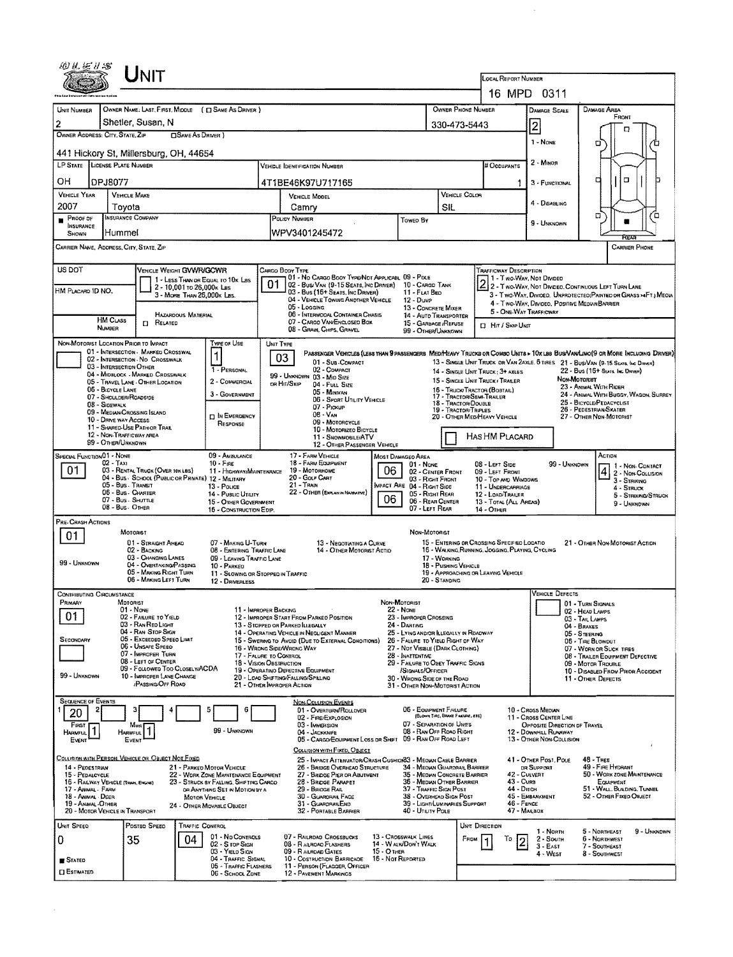| WUE15                                                      |                                         |                                                                                                 |                            |                                                                          |           |                                                                             |                                                                                                                               |                                  |                                                                               |                                                                          |                |                                                                                                                        |                                |                              |                                                                                             |                                                 |                    |
|------------------------------------------------------------|-----------------------------------------|-------------------------------------------------------------------------------------------------|----------------------------|--------------------------------------------------------------------------|-----------|-----------------------------------------------------------------------------|-------------------------------------------------------------------------------------------------------------------------------|----------------------------------|-------------------------------------------------------------------------------|--------------------------------------------------------------------------|----------------|------------------------------------------------------------------------------------------------------------------------|--------------------------------|------------------------------|---------------------------------------------------------------------------------------------|-------------------------------------------------|--------------------|
|                                                            |                                         |                                                                                                 |                            |                                                                          |           |                                                                             |                                                                                                                               |                                  |                                                                               |                                                                          |                | <b>LOCAL REPORT NUMBER</b>                                                                                             |                                |                              |                                                                                             |                                                 |                    |
|                                                            |                                         |                                                                                                 |                            |                                                                          |           |                                                                             |                                                                                                                               |                                  |                                                                               |                                                                          |                | 16 MPD 0311                                                                                                            |                                |                              |                                                                                             |                                                 |                    |
| UNIT NUMBER<br>$\overline{2}$                              |                                         | Shetler, Susan, N                                                                               |                            | OWNER NAME: LAST, FIRST, MIDDLE ( [ SAME AS DRIVER )                     |           |                                                                             |                                                                                                                               |                                  |                                                                               | OWNER PHONE NUMBER                                                       |                |                                                                                                                        | DAMAGE SCALE                   |                              | <b>DAMAGE AREA</b>                                                                          | FRONT                                           |                    |
| OWNER ADDRESS: CITY, STATE, ZIP                            |                                         |                                                                                                 | SAME AS DRIVER )           |                                                                          |           |                                                                             |                                                                                                                               |                                  |                                                                               | 330-473-5443                                                             |                |                                                                                                                        | 2                              |                              |                                                                                             | п                                               |                    |
|                                                            |                                         | 441 Hickory St, Millersburg, OH, 44654                                                          |                            |                                                                          |           |                                                                             |                                                                                                                               |                                  |                                                                               |                                                                          |                |                                                                                                                        | 1 - NONE                       |                              | o                                                                                           |                                                 |                    |
| LP STATE LICENSE PLATE NUMBER                              |                                         |                                                                                                 |                            |                                                                          |           | VEHICLE IDENTIFICATION NUMBER                                               |                                                                                                                               |                                  |                                                                               |                                                                          |                | # Occupants                                                                                                            | 2 - MINOR                      |                              |                                                                                             |                                                 |                    |
| OН                                                         | DPJ8077                                 |                                                                                                 |                            |                                                                          |           | 4T1BE46K97U717165                                                           |                                                                                                                               |                                  |                                                                               |                                                                          |                |                                                                                                                        | 3 - FUNCTIONAL                 |                              | о                                                                                           | α                                               |                    |
| <b>VEHICLE YEAR</b><br>2007                                |                                         | <b>VEHICLE MAKE</b>                                                                             |                            |                                                                          |           | VEHICLE MODEL                                                               |                                                                                                                               |                                  |                                                                               |                                                                          | VEHICLE COLOR  |                                                                                                                        | 4 - Disabling                  |                              |                                                                                             |                                                 |                    |
| Proof of                                                   |                                         | Tovota<br><b>INSURANCE COMPANY</b>                                                              |                            |                                                                          |           | Camry<br>POLICY NUMBER                                                      |                                                                                                                               |                                  | Toweo By                                                                      | SIL                                                                      |                |                                                                                                                        | 9 - UNKNOWN                    |                              | ۵                                                                                           |                                                 | ٥                  |
| <b>INSURANCE</b><br>SHOWN                                  | Hummel                                  |                                                                                                 |                            |                                                                          |           | WPV3401245472                                                               |                                                                                                                               |                                  |                                                                               |                                                                          |                |                                                                                                                        |                                |                              |                                                                                             |                                                 |                    |
|                                                            |                                         | CARRIER NAME, ADDRESS, CITY, STATE, ZIP                                                         |                            |                                                                          |           |                                                                             |                                                                                                                               |                                  |                                                                               |                                                                          |                |                                                                                                                        |                                |                              |                                                                                             | <b>CARRIER PHONE</b>                            |                    |
| US DOT                                                     |                                         | VEHICLE WEIGHT GVWR/GCWR                                                                        |                            |                                                                          |           | CARGO BODY TYPE                                                             | 01 - No CARGO BOOY TYPE/NOT APPLICABL 09 - POLE                                                                               |                                  |                                                                               |                                                                          |                | <b>TRAFFICWAY DESCRIPTION</b><br>1 - Two-Way, Not Divideo                                                              |                                |                              |                                                                                             |                                                 |                    |
| HM PLACARD ID NO.                                          |                                         |                                                                                                 | 2 - 10,001 to 26,000k Las  | 1 - LESS THAN OR EQUAL TO 10K LBS                                        | 01        |                                                                             | 02 - Busi Van (9-15 Seats, Inc Driver)<br>03 - Bus (16+ SEATS, INC DRIVER)                                                    |                                  | 10 - Cargo Tank<br>11 - FLAT BEO                                              |                                                                          |                | 4 2 - T WO-WAY, NOT DIVIDEO, CONTINUOUS LEFT TURN LANE                                                                 |                                |                              | 3 - Two-Way, Divided. UNPROTECTED (PAINTED OR GRASS >4FT.) MEDIA                            |                                                 |                    |
|                                                            |                                         |                                                                                                 | 3 - MORE THAN 26,000K LBS. |                                                                          |           | 05 - Logging                                                                | 04 - VEHICLE TOWING ANOTHER VEHICLE                                                                                           |                                  | $12 - D$ uw $p$<br>13 - CONCRETE MIXER                                        |                                                                          |                |                                                                                                                        |                                |                              | 4 - Two-Way, Divideo, Positive Median Barrier                                               |                                                 |                    |
|                                                            | <b>HM CLASS</b>                         | $\Gamma$ Related                                                                                | HAZARDOUS MATERIAL         |                                                                          |           |                                                                             | 06 - INTERMODAL CONTAINER CHASIS<br>07 - CARGO VAN/ENCLOSED BOX                                                               |                                  | 14 - AUTO TRANSPORTER<br>15 - GARBAGE /REFUSE                                 |                                                                          |                | 5 - ONE-WAY TRAFFICWAY<br>D. Hit / Skie UNIT                                                                           |                                |                              |                                                                                             |                                                 |                    |
|                                                            | <b>NUMBER</b>                           | NON-MOTORIST LOCATION PRIOR TO IMPACT                                                           |                            | Type or Use                                                              | UNIT TYPE |                                                                             | 08 - GRAIN, CHIPS, GRAVEL                                                                                                     |                                  | 99 - OTHER/UNKNOWN                                                            |                                                                          |                |                                                                                                                        |                                |                              |                                                                                             |                                                 |                    |
|                                                            |                                         | 01 - INTERSECTION - MARKED CROSSWAL<br>02 - INTERSECTION - NO CROSSWALK                         |                            |                                                                          |           | 03                                                                          | PASSENGER VEHICLES (LESS THAN 9 PASSENGERS MEDIMENTY TRUCKS OR COMBO UNITS > 10x LBS BUS/VAN/LIMO(9 OR MORE INCLUDING DRIVER) |                                  |                                                                               |                                                                          |                |                                                                                                                        |                                |                              |                                                                                             |                                                 |                    |
|                                                            | 03 - INTERSECTION OTHER                 | 04 - MIOBLOCK - MARKED CROSSWALK                                                                |                            | 1 - PERSONAL                                                             |           | 99 - UNKNOWN 03 - MID SIZE                                                  | 01 - Sub-COMPACT<br>02 - COMPACT                                                                                              |                                  |                                                                               |                                                                          |                | 13 - SINGLE UNIT TRUCK OR VAN 2AXLE, 6 TIRES 21 - BUS/VAN (9-15 SEATS, INC DRIVER)<br>14 - SINGLE UNIT TRUCK: 3+ AXLES |                                |                              | 22 - Bus (16+ Sears, Inc. Drivers)                                                          |                                                 |                    |
|                                                            | 06 - BICYCLE LANE                       | 05 - Travel Lane - Other Location                                                               |                            | 2 - COMMERCIAL                                                           |           | OR HIT/SKIP                                                                 | 04 - FULL SIZE<br>05 - MINIVAN                                                                                                |                                  |                                                                               |                                                                          |                | 15 - SINGLE UNIT TRUCK / TRAILER<br>16 - TRUCK/TRACTOR (BOBTAIL)                                                       |                                | Now-Mororust                 | 23 - ANIMAL WITH RIDER                                                                      |                                                 |                    |
|                                                            | 07 - SHOULDER/ROADSIDE<br>08 - SIDEWALK |                                                                                                 |                            | 3 - GOVERNMENT                                                           |           |                                                                             | 06 - SPORT UTILITY VEHICLE<br>07 - PICKUP                                                                                     |                                  |                                                                               | 17 - TRACTOR/SEMI-TRAILER<br>18 - TRACTOR/DOUBLE<br>19 - TRACTOR/TRIPLES |                |                                                                                                                        |                                |                              | 24 - ANIMAL WITH BUGGY, WAGON, SURREY<br>25 - BICYCLE/PEDACYCLIST<br>26 - PEDESTRIAN SKATER |                                                 |                    |
|                                                            | 10 - DRIVE WAY ACCESS                   | 09 - MEDIAN CROSSING ISLAND                                                                     |                            | <b>DIN EMERGENCY</b><br>RESPONSE                                         |           |                                                                             | 08 - VAN<br>09 - MOTORCYCLE                                                                                                   |                                  |                                                                               |                                                                          |                | 20 - OTHER MEDIHEAVY VEHICLE                                                                                           |                                |                              | 27 - OTHER NON-MOTORIST                                                                     |                                                 |                    |
|                                                            | 99 - OTHER/UNKNOWN                      | 11 - SHARED-USE PATH OR TRAR<br>12 - NON-TRAFFICWAY AREA                                        |                            |                                                                          |           |                                                                             | 10 - MOTORIZEO BICYCLE<br>11 - SNOWMOBILE/ATV                                                                                 |                                  |                                                                               |                                                                          |                | HAS HM PLACARD                                                                                                         |                                |                              |                                                                                             |                                                 |                    |
| SPECIAL FUNCTION 01 - NONE                                 |                                         |                                                                                                 |                            | 09 - AMBULANCE                                                           |           | 17 - FARM VEHICLE                                                           | 12 - OTHER PASSENGER VEHICLE                                                                                                  |                                  | MOST DAMAGEO AREA                                                             |                                                                          |                |                                                                                                                        |                                |                              | ACTION                                                                                      |                                                 |                    |
| 01                                                         | 02 - TAXI                               | 03 - RENTAL TRUCK (OVER 10K LBS)                                                                |                            | $10 -$ Fine<br>11 - HIGHWAY/MAINTENANCE                                  |           | 19 - Мотокноме                                                              | 18 - FARM EQUIPMENT                                                                                                           | 06                               | 01 None                                                                       | 02 - CENTER FRONT                                                        |                | 08 - LEFT SIDE<br>09 - LEFT FRONT                                                                                      |                                | 99 - Unknown                 |                                                                                             | 1 - NON-CONTACT<br>$\frac{4}{2}$ - Now Counsion |                    |
|                                                            |                                         | 04 - Bus - SCHOOL (PUBLIC OR PRIVATE) 12 - MILITARY<br>05 - Bus - Transit<br>06 - Bus - CHARTER |                            | 13 - Pouce                                                               |           | 20 - GOLF CART<br>21 - Tradi                                                | 22 - OTHER (EXPLAND NARRATIVE)                                                                                                |                                  | 03 - RIGHT FRONT<br>MPACT ARE 04 - RIGHT SIDE<br>05 - Right Rear              |                                                                          |                | 10 - Top AND WINDOWS<br>11 - UNDERCARRIAGE                                                                             |                                |                              |                                                                                             | 3 - STRIKNO<br>4 - Struck                       |                    |
|                                                            |                                         | 07 - Bus SHUTTLE<br>08 - Bus OTHER                                                              |                            | 14 - Pusuc Unury<br>15 - OTHER GOVERNMENT<br>16 - CONSTRUCTION EOIP.     |           |                                                                             |                                                                                                                               | 06                               | 07 - LEFT REAR                                                                | 06 - REAR CENTER                                                         |                | 12 - LOAD/TRAILER<br>13 - TOTAL (ALL AREAS)<br>14 - OTHER                                                              |                                |                              |                                                                                             | 9 - UNKNOWN                                     | 5 - STRIKKO/STRUCK |
| PRE-CRASH ACTIONS                                          |                                         |                                                                                                 |                            |                                                                          |           |                                                                             |                                                                                                                               |                                  |                                                                               |                                                                          |                |                                                                                                                        |                                |                              |                                                                                             |                                                 |                    |
| 01                                                         |                                         | MOTORIST<br>01 - STRAIGHT AHEAD                                                                 |                            | 07 - MAKING U-TURN                                                       |           |                                                                             | 13 - Negotiating a Curve                                                                                                      |                                  | NON MOTORIST                                                                  |                                                                          |                | 15 - ENTERING OR CROSSING SPECIFIED LOCATIO                                                                            |                                |                              | 21 - OTHER NON-MOTORIST ACTION                                                              |                                                 |                    |
|                                                            |                                         | 02 - BACKING<br>03 - CHANGING LANES                                                             |                            | 08 - ENTERING TRAFFIC LANE<br>09 - LEAVING TRAFFIC LANE                  |           |                                                                             | 14 - OTHER MOTORIST ACTIO                                                                                                     |                                  |                                                                               | 17 - WORKING                                                             |                | 16 - WALKING, RUNNING, JOGGING, PLAYING, CYCLING                                                                       |                                |                              |                                                                                             |                                                 |                    |
| 99 - UNKNOWN                                               |                                         | 04 - OVERTAKING/PASSING<br>05 - MAKING RIGHT TURN                                               |                            | $10 - P$ ARKED<br>11 - SLOWING OR STOPPED IN TRAFFIC                     |           |                                                                             |                                                                                                                               |                                  |                                                                               | 18 - Pushing VEHICLE                                                     |                | 19 - APPROACHING OR LEAVING VEHICLE                                                                                    |                                |                              |                                                                                             |                                                 |                    |
| <b>CONTRIBUTING CIRCUMSTANCE</b>                           |                                         | 06 - MAKING LEFT TURN                                                                           |                            | 12 - DRIVERLESS                                                          |           |                                                                             |                                                                                                                               |                                  |                                                                               | 20 - Standing                                                            |                |                                                                                                                        |                                | VEHICLE DEFECTS              |                                                                                             |                                                 |                    |
| Primary                                                    |                                         | MOTORIST<br>$01 - None$                                                                         |                            | 11 - IMPROPER BACKING                                                    |           |                                                                             |                                                                                                                               |                                  | Non-Motorist<br><b>22 - NONE</b>                                              |                                                                          |                |                                                                                                                        |                                |                              | 01 - TURN SIGNALS                                                                           |                                                 |                    |
| 01                                                         |                                         | 02 - FAILURE TO YIELD<br>03 - RAN RED LIGHT                                                     |                            |                                                                          |           | 12 - IMPROPER START FROM PARKEO POSITION<br>13 - STOPPED OR PARKED LLEGALLY |                                                                                                                               |                                  | 23 - IMPROPER CROSSING<br>24 - DARTING                                        |                                                                          |                |                                                                                                                        |                                |                              | 02 - HEAD LAMPS<br>03 - TAIL LAMPS<br>04 - BRAKES                                           |                                                 |                    |
| SECONDARY                                                  |                                         | 04 - RAN STOP SIGN<br>05 - Exceeped Speed LIMIT                                                 |                            |                                                                          |           |                                                                             | 14 - OPERATING VEHICLE IN NEGLIGENT MANNER<br>15 - Swering to Avoid (Due to External Conditions)                              |                                  | 25 - LYING AND/OR ILLEGALLY IN READWAY<br>26 - FALURE TO YIELD RIGHT OF WAY   |                                                                          |                |                                                                                                                        |                                |                              | 05 - STEERING<br>06 - Tine BLOWOUT                                                          |                                                 |                    |
|                                                            |                                         | 06 - Unsafe Speed<br>07 - IMPROPER TURN<br>08 - LEFT OF CENTER                                  |                            | 17 - FALURE TO CONTROL                                                   |           | 16 - WRONG SIDE/WRONG WAY                                                   |                                                                                                                               |                                  | 27 - NOT VISBLE (DARK CLOTHING)<br>28 - INATTENTIVE                           |                                                                          |                |                                                                                                                        |                                |                              | 07 - WORN OR SLICK TIRES<br>08 - TRAILER EQUIPMENT DEFECTIVE                                |                                                 |                    |
| 99 - UNKNOWN                                               |                                         | 09 - FOLLOWED TOO CLOSELWACDA<br>10 - IMPROPER LANE CHANGE                                      |                            | 18 - VISION OBSTRUCTION                                                  |           | 19 - OPERATING DEFECTIVE EQUIPMENT<br>20 - LOAD SHIFTING/FALLING/SPILLING   |                                                                                                                               |                                  | 29 - FAILURE TO OBEY TRAFFIC SIGNS<br>SIGNALS/OFFICER                         |                                                                          |                |                                                                                                                        |                                |                              | 09 - MOTOR TROUBLE<br>10 - DISABLED FROM PRIOR ACCIDENT                                     |                                                 |                    |
|                                                            |                                         | <b>PASSING/OFF ROAD</b>                                                                         |                            |                                                                          |           | 21 - OTHER IMPROPER ACTION                                                  |                                                                                                                               |                                  | 30 - WRONG SIDE OF THE ROAD<br>31 - OTHER NON-MOTORIST ACTION                 |                                                                          |                |                                                                                                                        |                                |                              | 11 - OTHER DEFECTS                                                                          |                                                 |                    |
| <b>SEQUENCE OF EVENTS</b>                                  |                                         |                                                                                                 |                            | 5<br>E                                                                   |           |                                                                             | <b>NON-COLLISION EVENTS</b><br>01 - Overturn/Rollover                                                                         |                                  | 05 - EQUIPMENT FAILURE                                                        |                                                                          |                |                                                                                                                        | 10 - Cross Median              |                              |                                                                                             |                                                 |                    |
| 20<br>FIRST                                                |                                         | Most                                                                                            |                            |                                                                          |           |                                                                             | 02 - FIRE/EXPLOSION<br>03 - IMMERSION                                                                                         |                                  | 07 - SEPARATION OF UNITS                                                      | (BLOWN TIRE, BRAKE FAILURE, ETC)                                         |                |                                                                                                                        | 11 - Cross Center Line         | OPPOSITE DIRECTION OF TRAVEL |                                                                                             |                                                 |                    |
| <b>HARMFUL</b><br>EVENT                                    |                                         | <b>HARMFUL</b><br>EVENT                                                                         |                            | 99 - UNKNOWN                                                             |           |                                                                             | 04 - JACKKNIFE<br>05 - CARGO/EQUIPMENT LOSS OR SHIFT 09 - RAN OFF ROAD LEFT                                                   |                                  | 08 - RAN OFF ROAD RIGHT                                                       |                                                                          |                |                                                                                                                        | 12 - DOWNHAL RUNAWAY           | 13 - OTHER NON-COLLISION     |                                                                                             |                                                 |                    |
|                                                            |                                         | COLUSION WITH PERSON, VEHICLE OR OBJECT NOT FIXED                                               |                            |                                                                          |           |                                                                             | COLLISION WITH FIXED, OBJECT<br>25 - IMPACT ATTENUATOR/CRASH CUSHION33 - MEDIAN CABLE BARRIER                                 |                                  |                                                                               |                                                                          |                |                                                                                                                        | 41 - OTHER POST, POLE          |                              | $48 -$ TREE                                                                                 |                                                 |                    |
| 14 - PEDESTRIAN<br>15 - Pedalcycle                         |                                         |                                                                                                 |                            | 21 - PARKED MOTOR VEHICLE<br>22 - WORK ZONE MAINTENANCE EQUIPMENT        |           |                                                                             | 26 - BRIDGE OVERHEAD STRUCTURE<br>27 - BRIDGE PIER OR ABUTMENT                                                                |                                  | 34 - MEDIAN GUARDRAIL BARRIER<br>35 - MEDIAN CONCRETE BARRIER                 |                                                                          |                |                                                                                                                        | OR SUPPORT<br>42 - CULVERT     |                              | 49 - FIRE HYDRANT<br>50 - WORK ZONE MAINTENANCE                                             |                                                 |                    |
| 16 - RAILWAY VEHICLE (TRAM, ENGINE)<br>17 - Animal - Farim |                                         |                                                                                                 |                            | 23 - STRUCK BY FALLING, SHIFTING CARGO<br>OR ANYTHING SET IN MOTION BY A |           |                                                                             | 28 - BRIDGE PARAPET<br>29 - BRIDGE RAIL                                                                                       |                                  | 36 - MEDIAN OTHER BARRIER<br>37 - Triaffic Sign Post                          |                                                                          |                | 43 - Curs<br>44 - Опсн                                                                                                 |                                |                              | EQUIPMENT<br>51 - WALL, BULDING, TUMNEL                                                     |                                                 |                    |
| 18 - Animal Deer<br>19 - ANMAL -OTHER                      | 20 - MOTOR VEHICLE IN TRANSPORT         |                                                                                                 | <b>MOTOR VEHICLE</b>       | 24 - OTHER MOVABLE OBJECT                                                |           |                                                                             | 30 - GUARDRAIL FACE<br>31 - GUARDRAILEND<br>32 - PORTABLE BARRIER                                                             |                                  | 38 - Overhead Sign Post<br>39 - LIGHT/LUMINARIES SUPPORT<br>40 - UTILITY POLE |                                                                          |                | 46 - FENCE                                                                                                             | 45 - EMBANKMENT<br>47 - MARBOX |                              | 52 - OTHER FIXED OBJECT                                                                     |                                                 |                    |
| UNIT SPEED                                                 |                                         | POSTED SPEED                                                                                    | TRAFFIC CONTROL            |                                                                          |           |                                                                             |                                                                                                                               |                                  |                                                                               |                                                                          | UNIT DIRECTION |                                                                                                                        |                                |                              |                                                                                             |                                                 |                    |
| 0                                                          |                                         | 35                                                                                              | 04                         | 01 - No Controls<br>02 - S rop Sign                                      |           |                                                                             | 07 - RAILROAD CROSSBUCKS<br>08 - RAILROAD FLASHERS                                                                            |                                  | <b>13 - CROSSWALK LINES</b><br>14 - WALN/DON'T WALK                           |                                                                          | Fnou           | Т٥                                                                                                                     | 1 - North<br>$2 -$ South       |                              | 5 - Northeast<br>6 - NORTHWEST                                                              |                                                 | 9 - UNKNOWN        |
| <b>STATED</b>                                              |                                         |                                                                                                 |                            | 03 - YIELO SIGN<br>04 - TRAFFIC SIGNAL                                   |           | 09 - RAILROAD GATES                                                         | 10 - Costruction Barricade                                                                                                    | $15 - O$ THER<br>16 Not Reported |                                                                               |                                                                          |                |                                                                                                                        | $3 - EAF$<br>4 - West          |                              | 7 - SOUTHEAST<br>8 - Southwest                                                              |                                                 |                    |
| <b>ESTIMATED</b>                                           |                                         |                                                                                                 |                            | 05 - TRAFFIC FLASHERS<br>06 - SCHOOL ZONE                                |           |                                                                             | 11 - PERSON (FLAGGER, OFFICER<br>12 - PAVEMENT MARKINGS                                                                       |                                  |                                                                               |                                                                          |                |                                                                                                                        |                                |                              |                                                                                             |                                                 |                    |

 $\mathcal{A}^{\mathcal{A}}$